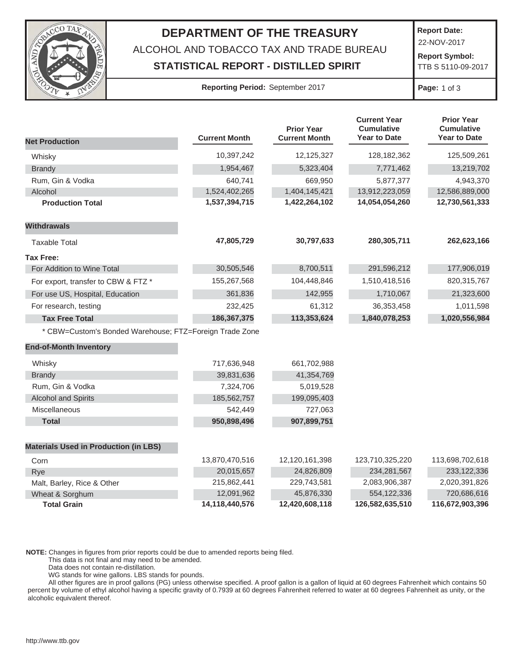

## **DEPARTMENT OF THE TREASURY** ALCOHOL AND TOBACCO TAX AND TRADE BUREAU

**STATISTICAL REPORT - DISTILLED SPIRIT**

**Report Date:** 22-NOV-2017

 **Report Symbol:**  TTB S 5110-09-2017

## **Reporting Period:** September 2017 **Page:** 1 of 3

|                                                         |                      | <b>Prior Year</b>    | <b>Current Year</b><br><b>Cumulative</b><br><b>Year to Date</b> | <b>Prior Year</b><br><b>Cumulative</b><br><b>Year to Date</b> |
|---------------------------------------------------------|----------------------|----------------------|-----------------------------------------------------------------|---------------------------------------------------------------|
| <b>Net Production</b>                                   | <b>Current Month</b> | <b>Current Month</b> |                                                                 |                                                               |
| Whisky                                                  | 10,397,242           | 12,125,327           | 128, 182, 362                                                   | 125,509,261                                                   |
| <b>Brandy</b>                                           | 1,954,467            | 5,323,404            | 7,771,462                                                       | 13,219,702                                                    |
| Rum, Gin & Vodka                                        | 640,741              | 669,950              | 5,877,377                                                       | 4,943,370                                                     |
| Alcohol                                                 | 1,524,402,265        | 1,404,145,421        | 13,912,223,059                                                  | 12,586,889,000                                                |
| <b>Production Total</b>                                 | 1,537,394,715        | 1,422,264,102        | 14,054,054,260                                                  | 12,730,561,333                                                |
| <b>Withdrawals</b>                                      |                      |                      |                                                                 |                                                               |
| <b>Taxable Total</b>                                    | 47,805,729           | 30,797,633           | 280,305,711                                                     | 262,623,166                                                   |
| <b>Tax Free:</b>                                        |                      |                      |                                                                 |                                                               |
| For Addition to Wine Total                              | 30,505,546           | 8,700,511            | 291,596,212                                                     | 177,906,019                                                   |
| For export, transfer to CBW & FTZ *                     | 155,267,568          | 104,448,846          | 1,510,418,516                                                   | 820,315,767                                                   |
| For use US, Hospital, Education                         | 361,836              | 142,955              | 1,710,067                                                       | 21,323,600                                                    |
| For research, testing                                   | 232,425              | 61,312               | 36, 353, 458                                                    | 1,011,598                                                     |
| <b>Tax Free Total</b>                                   | 186,367,375          | 113,353,624          | 1,840,078,253                                                   | 1,020,556,984                                                 |
| * CBW=Custom's Bonded Warehouse; FTZ=Foreign Trade Zone |                      |                      |                                                                 |                                                               |
| <b>End-of-Month Inventory</b>                           |                      |                      |                                                                 |                                                               |
| Whisky                                                  | 717,636,948          | 661,702,988          |                                                                 |                                                               |
| <b>Brandy</b>                                           | 39,831,636           | 41,354,769           |                                                                 |                                                               |
| Rum, Gin & Vodka                                        | 7,324,706            | 5,019,528            |                                                                 |                                                               |
| <b>Alcohol and Spirits</b>                              | 185,562,757          | 199,095,403          |                                                                 |                                                               |
| Miscellaneous                                           | 542,449              | 727,063              |                                                                 |                                                               |
| <b>Total</b>                                            | 950,898,496          | 907,899,751          |                                                                 |                                                               |
| <b>Materials Used in Production (in LBS)</b>            |                      |                      |                                                                 |                                                               |
| Corn                                                    | 13,870,470,516       | 12,120,161,398       | 123,710,325,220                                                 | 113,698,702,618                                               |
| Rye                                                     | 20,015,657           | 24,826,809           | 234, 281, 567                                                   | 233,122,336                                                   |
| Malt, Barley, Rice & Other                              | 215,862,441          | 229,743,581          | 2,083,906,387                                                   | 2,020,391,826                                                 |
| Wheat & Sorghum                                         | 12,091,962           | 45,876,330           | 554,122,336                                                     | 720,686,616                                                   |
| <b>Total Grain</b>                                      | 14,118,440,576       | 12,420,608,118       | 126,582,635,510                                                 | 116,672,903,396                                               |

**NOTE:** Changes in figures from prior reports could be due to amended reports being filed.

This data is not final and may need to be amended.

Data does not contain re-distillation.

WG stands for wine gallons. LBS stands for pounds.

 All other figures are in proof gallons (PG) unless otherwise specified. A proof gallon is a gallon of liquid at 60 degrees Fahrenheit which contains 50 percent by volume of ethyl alcohol having a specific gravity of 0.7939 at 60 degrees Fahrenheit referred to water at 60 degrees Fahrenheit as unity, or the alcoholic equivalent thereof.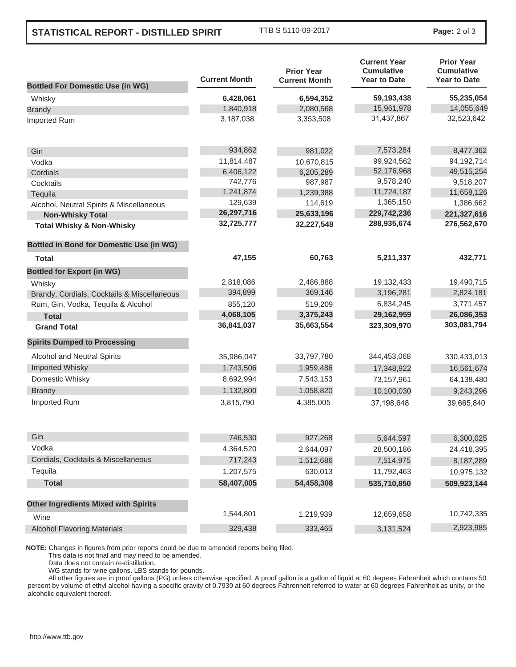## **STATISTICAL REPORT - DISTILLED SPIRIT**

TTB S 5110-09-2017 **Page:** 2 of 3

|                                                 | <b>Current Month</b> | <b>Prior Year</b><br><b>Current Month</b> | <b>Current Year</b><br><b>Cumulative</b><br><b>Year to Date</b> | <b>Prior Year</b><br><b>Cumulative</b><br><b>Year to Date</b> |
|-------------------------------------------------|----------------------|-------------------------------------------|-----------------------------------------------------------------|---------------------------------------------------------------|
| <b>Bottled For Domestic Use (in WG)</b>         |                      |                                           |                                                                 |                                                               |
| Whisky                                          | 6,428,061            | 6,594,352                                 | 59,193,438                                                      | 55,235,054                                                    |
| <b>Brandy</b>                                   | 1,840,918            | 2,080,568                                 | 15,961,978                                                      | 14,055,649                                                    |
| Imported Rum                                    | 3,187,038            | 3,353,508                                 | 31,437,867                                                      | 32,523,642                                                    |
| Gin                                             | 934,862              | 981,022                                   | 7,573,284                                                       | 8,477,362                                                     |
| Vodka                                           | 11,814,487           | 10,670,815                                | 99,924,562                                                      | 94,192,714                                                    |
| Cordials                                        | 6,406,122            | 6,205,289                                 | 52,176,968                                                      | 49,515,254                                                    |
| Cocktails                                       | 742,776              | 987,987                                   | 9,578,240                                                       | 9,518,207                                                     |
| Tequila                                         | 1,241,874            | 1,239,388                                 | 11,724,187                                                      | 11,658,126                                                    |
| Alcohol, Neutral Spirits & Miscellaneous        | 129,639              | 114,619                                   | 1,365,150                                                       | 1,386,662                                                     |
| <b>Non-Whisky Total</b>                         | 26,297,716           | 25,633,196                                | 229,742,236                                                     | 221,327,616                                                   |
| <b>Total Whisky &amp; Non-Whisky</b>            | 32,725,777           | 32,227,548                                | 288,935,674                                                     | 276,562,670                                                   |
| <b>Bottled in Bond for Domestic Use (in WG)</b> |                      |                                           |                                                                 |                                                               |
| Total                                           | 47,155               | 60,763                                    | 5,211,337                                                       | 432,771                                                       |
| <b>Bottled for Export (in WG)</b>               |                      |                                           |                                                                 |                                                               |
| Whisky                                          | 2,818,086            | 2,486,888                                 | 19,132,433                                                      | 19,490,715                                                    |
| Brandy, Cordials, Cocktails & Miscellaneous     | 394,899              | 369,146                                   | 3,196,281                                                       | 2,824,181                                                     |
| Rum, Gin, Vodka, Tequila & Alcohol              | 855,120              | 519,209                                   | 6,834,245                                                       | 3,771,457                                                     |
| <b>Total</b>                                    | 4,068,105            | 3,375,243                                 | 29,162,959                                                      | 26,086,353                                                    |
| <b>Grand Total</b>                              | 36,841,037           | 35,663,554                                | 323,309,970                                                     | 303,081,794                                                   |
| <b>Spirits Dumped to Processing</b>             |                      |                                           |                                                                 |                                                               |
| Alcohol and Neutral Spirits                     | 35,986,047           | 33,797,780                                | 344,453,068                                                     | 330,433,013                                                   |
| <b>Imported Whisky</b>                          | 1,743,506            | 1,959,486                                 | 17,348,922                                                      | 16,561,674                                                    |
| Domestic Whisky                                 | 8,692,994            | 7,543,153                                 | 73,157,961                                                      | 64,138,480                                                    |
| <b>Brandy</b>                                   | 1,132,800            | 1,058,820                                 | 10,100,030                                                      | 9,243,296                                                     |
| Imported Rum                                    | 3,815,790            | 4,385,005                                 | 37,198,648                                                      | 39,665,840                                                    |
| Gin                                             | 746,530              | 927,268                                   | 5,644,597                                                       | 6,300,025                                                     |
| Vodka                                           | 4,364,520            | 2,644,097                                 | 28,500,186                                                      | 24,418,395                                                    |
| Cordials, Cocktails & Miscellaneous             | 717,243              | 1,512,686                                 | 7,514,975                                                       | 8,187,289                                                     |
| Tequila                                         | 1,207,575            | 630,013                                   | 11,792,463                                                      | 10,975,132                                                    |
| <b>Total</b>                                    | 58,407,005           | 54,458,308                                | 535,710,850                                                     | 509,923,144                                                   |
| <b>Other Ingredients Mixed with Spirits</b>     |                      |                                           |                                                                 |                                                               |
| Wine                                            | 1,544,801            | 1,219,939                                 | 12,659,658                                                      | 10,742,335                                                    |
| <b>Alcohol Flavoring Materials</b>              | 329,438              | 333,465                                   | 3,131,524                                                       | 2,923,985                                                     |
|                                                 |                      |                                           |                                                                 |                                                               |

**NOTE:** Changes in figures from prior reports could be due to amended reports being filed.

This data is not final and may need to be amended.

Data does not contain re-distillation.

WG stands for wine gallons. LBS stands for pounds.

 All other figures are in proof gallons (PG) unless otherwise specified. A proof gallon is a gallon of liquid at 60 degrees Fahrenheit which contains 50 percent by volume of ethyl alcohol having a specific gravity of 0.7939 at 60 degrees Fahrenheit referred to water at 60 degrees Fahrenheit as unity, or the alcoholic equivalent thereof.